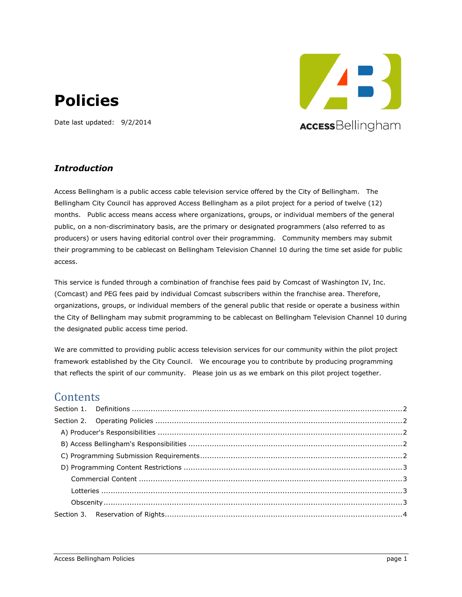# **Policies**

Date last updated: 9/2/2014



#### *Introduction*

Access Bellingham is a public access cable television service offered by the City of Bellingham. The Bellingham City Council has approved Access Bellingham as a pilot project for a period of twelve (12) months. Public access means access where organizations, groups, or individual members of the general public, on a non-discriminatory basis, are the primary or designated programmers (also referred to as producers) or users having editorial control over their programming. Community members may submit their programming to be cablecast on Bellingham Television Channel 10 during the time set aside for public access.

This service is funded through a combination of franchise fees paid by Comcast of Washington IV, Inc. (Comcast) and PEG fees paid by individual Comcast subscribers within the franchise area. Therefore, organizations, groups, or individual members of the general public that reside or operate a business within the City of Bellingham may submit programming to be cablecast on Bellingham Television Channel 10 during the designated public access time period.

We are committed to providing public access television services for our community within the pilot project framework established by the City Council. We encourage you to contribute by producing programming that reflects the spirit of our community. Please join us as we embark on this pilot project together.

#### **Contents**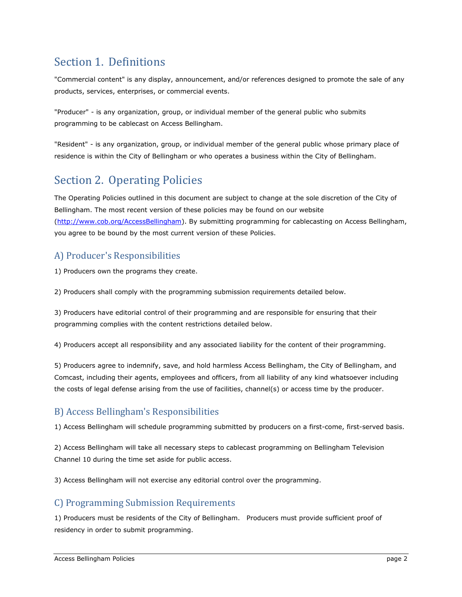## <span id="page-1-0"></span>Section 1. Definitions

"Commercial content" is any display, announcement, and/or references designed to promote the sale of any products, services, enterprises, or commercial events.

"Producer" - is any organization, group, or individual member of the general public who submits programming to be cablecast on Access Bellingham.

"Resident" - is any organization, group, or individual member of the general public whose primary place of residence is within the City of Bellingham or who operates a business within the City of Bellingham.

# <span id="page-1-1"></span>Section 2. Operating Policies

The Operating Policies outlined in this document are subject to change at the sole discretion of the City of Bellingham. The most recent version of these policies may be found on our website [\(http://w](http://........./)ww.cob.org/AccessBellingham). By submitting programming for cablecasting on Access Bellingham, you agree to be bound by the most current version of these Policies.

## <span id="page-1-2"></span>A) Producer's Responsibilities

1) Producers own the programs they create.

2) Producers shall comply with the programming submission requirements detailed below.

3) Producers have editorial control of their programming and are responsible for ensuring that their programming complies with the content restrictions detailed below.

4) Producers accept all responsibility and any associated liability for the content of their programming.

5) Producers agree to indemnify, save, and hold harmless Access Bellingham, the City of Bellingham, and Comcast, including their agents, employees and officers, from all liability of any kind whatsoever including the costs of legal defense arising from the use of facilities, channel(s) or access time by the producer.

#### <span id="page-1-3"></span>B) Access Bellingham's Responsibilities

1) Access Bellingham will schedule programming submitted by producers on a first-come, first-served basis.

2) Access Bellingham will take all necessary steps to cablecast programming on Bellingham Television Channel 10 during the time set aside for public access.

3) Access Bellingham will not exercise any editorial control over the programming.

#### <span id="page-1-4"></span>C) Programming Submission Requirements

1) Producers must be residents of the City of Bellingham. Producers must provide sufficient proof of residency in order to submit programming.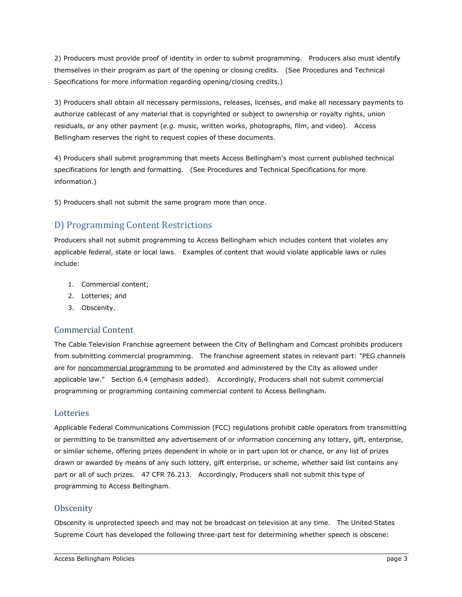2) Producers must provide proof of identity in order to submit programming. Producers also must identify themselves in their program as part of the opening or closing credits. (See Procedures and Technical Specifications for more information regarding opening/closing credits.)

3) Producers shall obtain all necessary permissions, releases, licenses, and make all necessary payments to authorize cablecast of any material that is copyrighted or subject to ownership or royalty rights, union residuals, or any other payment (*e.g.* music, written works, photographs, film, and video). Access Bellingham reserves the right to request copies of these documents.

4) Producers shall submit programming that meets Access Bellingham's most current published technical specifications for length and formatting. (See Procedures and Technical Specifications for more information.)

5) Producers shall not submit the same program more than once.

## <span id="page-2-0"></span>D) Programming Content Restrictions

Producers shall not submit programming to Access Bellingham which includes content that violates any applicable federal, state or local laws. Examples of content that would violate applicable laws or rules include:

- 1. Commercial content;
- 2. Lotteries; and
- 3. Obscenity.

#### <span id="page-2-1"></span>Commercial Content

The Cable Television Franchise agreement between the City of Bellingham and Comcast prohibits producers from submitting commercial programming. The franchise agreement states in relevant part: "PEG channels are for noncommercial programming to be promoted and administered by the City as allowed under applicable law." Section 6.4 (emphasis added). Accordingly, Producers shall not submit commercial programming or programming containing commercial content to Access Bellingham.

#### <span id="page-2-2"></span>Lotteries

Applicable Federal Communications Commission (FCC) regulations prohibit cable operators from transmitting or permitting to be transmitted any advertisement of or information concerning any lottery, gift, enterprise, or similar scheme, offering prizes dependent in whole or in part upon lot or chance, or any list of prizes drawn or awarded by means of any such lottery, gift enterprise, or scheme, whether said list contains any part or all of such prizes. 47 CFR 76.213. Accordingly, Producers shall not submit this type of programming to Access Bellingham.

#### <span id="page-2-3"></span>**Obscenity**

Obscenity is unprotected speech and may not be broadcast on television at any time. The United States Supreme Court has developed the following three-part test for determining whether speech is obscene: